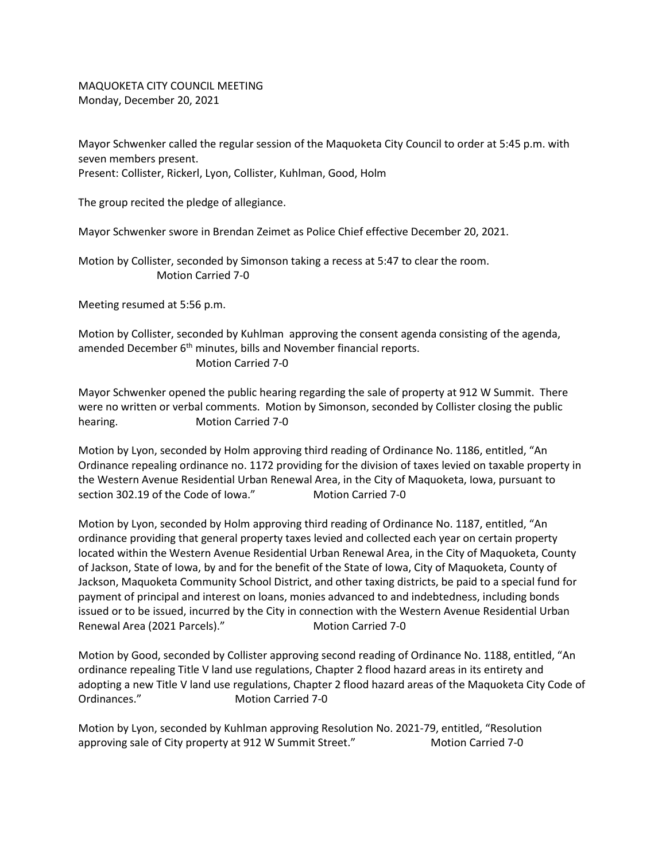MAQUOKETA CITY COUNCIL MEETING Monday, December 20, 2021

Mayor Schwenker called the regular session of the Maquoketa City Council to order at 5:45 p.m. with seven members present. Present: Collister, Rickerl, Lyon, Collister, Kuhlman, Good, Holm

The group recited the pledge of allegiance.

Mayor Schwenker swore in Brendan Zeimet as Police Chief effective December 20, 2021.

Motion by Collister, seconded by Simonson taking a recess at 5:47 to clear the room. Motion Carried 7-0

Meeting resumed at 5:56 p.m.

Motion by Collister, seconded by Kuhlman approving the consent agenda consisting of the agenda, amended December 6<sup>th</sup> minutes, bills and November financial reports. Motion Carried 7-0

Mayor Schwenker opened the public hearing regarding the sale of property at 912 W Summit. There were no written or verbal comments. Motion by Simonson, seconded by Collister closing the public hearing. Motion Carried 7-0

Motion by Lyon, seconded by Holm approving third reading of Ordinance No. 1186, entitled, "An Ordinance repealing ordinance no. 1172 providing for the division of taxes levied on taxable property in the Western Avenue Residential Urban Renewal Area, in the City of Maquoketa, Iowa, pursuant to section 302.19 of the Code of Iowa." Motion Carried 7-0

Motion by Lyon, seconded by Holm approving third reading of Ordinance No. 1187, entitled, "An ordinance providing that general property taxes levied and collected each year on certain property located within the Western Avenue Residential Urban Renewal Area, in the City of Maquoketa, County of Jackson, State of Iowa, by and for the benefit of the State of Iowa, City of Maquoketa, County of Jackson, Maquoketa Community School District, and other taxing districts, be paid to a special fund for payment of principal and interest on loans, monies advanced to and indebtedness, including bonds issued or to be issued, incurred by the City in connection with the Western Avenue Residential Urban Renewal Area (2021 Parcels)." Motion Carried 7-0

Motion by Good, seconded by Collister approving second reading of Ordinance No. 1188, entitled, "An ordinance repealing Title V land use regulations, Chapter 2 flood hazard areas in its entirety and adopting a new Title V land use regulations, Chapter 2 flood hazard areas of the Maquoketa City Code of Ordinances." Motion Carried 7-0

Motion by Lyon, seconded by Kuhlman approving Resolution No. 2021-79, entitled, "Resolution approving sale of City property at 912 W Summit Street." Motion Carried 7-0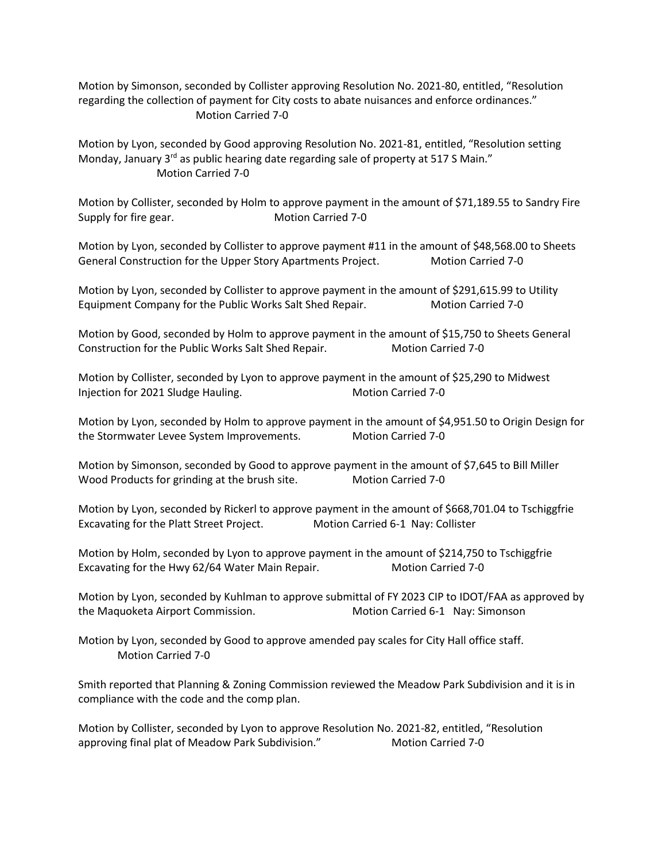Motion by Simonson, seconded by Collister approving Resolution No. 2021-80, entitled, "Resolution regarding the collection of payment for City costs to abate nuisances and enforce ordinances." Motion Carried 7-0

Motion by Lyon, seconded by Good approving Resolution No. 2021-81, entitled, "Resolution setting Monday, January  $3<sup>rd</sup>$  as public hearing date regarding sale of property at 517 S Main." Motion Carried 7-0

Motion by Collister, seconded by Holm to approve payment in the amount of \$71,189.55 to Sandry Fire Supply for fire gear. Motion Carried 7-0

Motion by Lyon, seconded by Collister to approve payment #11 in the amount of \$48,568.00 to Sheets General Construction for the Upper Story Apartments Project. Motion Carried 7-0

Motion by Lyon, seconded by Collister to approve payment in the amount of \$291,615.99 to Utility Equipment Company for the Public Works Salt Shed Repair. Motion Carried 7-0

Motion by Good, seconded by Holm to approve payment in the amount of \$15,750 to Sheets General Construction for the Public Works Salt Shed Repair. Motion Carried 7-0

Motion by Collister, seconded by Lyon to approve payment in the amount of \$25,290 to Midwest Injection for 2021 Sludge Hauling. Motion Carried 7-0

Motion by Lyon, seconded by Holm to approve payment in the amount of \$4,951.50 to Origin Design for the Stormwater Levee System Improvements. Motion Carried 7-0

Motion by Simonson, seconded by Good to approve payment in the amount of \$7,645 to Bill Miller Wood Products for grinding at the brush site. Motion Carried 7-0

Motion by Lyon, seconded by Rickerl to approve payment in the amount of \$668,701.04 to Tschiggfrie Excavating for the Platt Street Project. Motion Carried 6-1 Nay: Collister

Motion by Holm, seconded by Lyon to approve payment in the amount of \$214,750 to Tschiggfrie Excavating for the Hwy 62/64 Water Main Repair. Motion Carried 7-0

Motion by Lyon, seconded by Kuhlman to approve submittal of FY 2023 CIP to IDOT/FAA as approved by the Maquoketa Airport Commission. The Motion Carried 6-1 Nay: Simonson

Motion by Lyon, seconded by Good to approve amended pay scales for City Hall office staff. Motion Carried 7-0

Smith reported that Planning & Zoning Commission reviewed the Meadow Park Subdivision and it is in compliance with the code and the comp plan.

Motion by Collister, seconded by Lyon to approve Resolution No. 2021-82, entitled, "Resolution approving final plat of Meadow Park Subdivision." Motion Carried 7-0